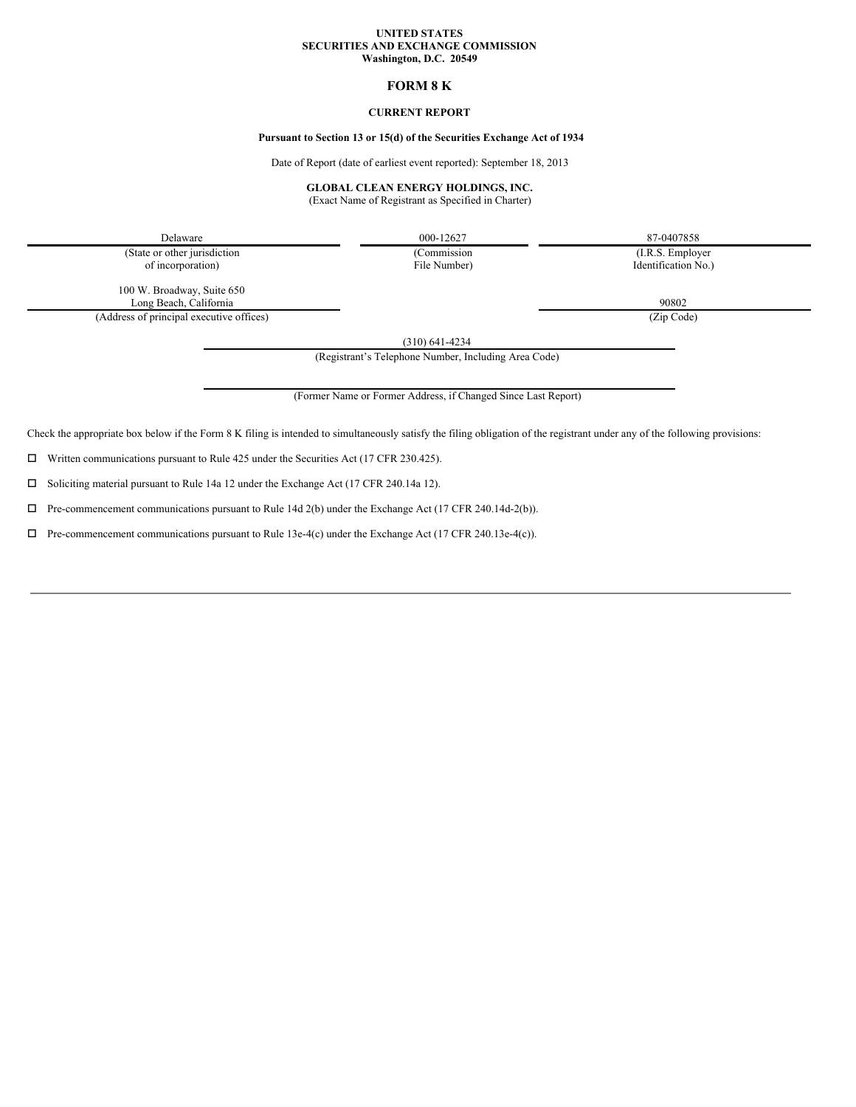#### **UNITED STATES SECURITIES AND EXCHANGE COMMISSION Washington, D.C. 20549**

# **FORM 8 K**

### **CURRENT REPORT**

## **Pursuant to Section 13 or 15(d) of the Securities Exchange Act of 1934**

Date of Report (date of earliest event reported): September 18, 2013

### **GLOBAL CLEAN ENERGY HOLDINGS, INC.**

(Exact Name of Registrant as Specified in Charter)

Delaware 000-12627 87-0407858 (State or other jurisdiction (Commission (I.R.S. Employer

of incorporation) File Number) Identification No.)

100 W. Broadway, Suite 650 Long Beach, California 90802

(Address of principal executive offices) (Zip Code)

(310) 641-4234

(Registrant's Telephone Number, Including Area Code)

(Former Name or Former Address, if Changed Since Last Report)

Check the appropriate box below if the Form 8 K filing is intended to simultaneously satisfy the filing obligation of the registrant under any of the following provisions:

 $\square$  Written communications pursuant to Rule 425 under the Securities Act (17 CFR 230.425).

 $\square$  Soliciting material pursuant to Rule 14a 12 under the Exchange Act (17 CFR 240.14a 12).

 $\Box$  Pre-commencement communications pursuant to Rule 14d 2(b) under the Exchange Act (17 CFR 240.14d-2(b)).

 $\Box$  Pre-commencement communications pursuant to Rule 13e-4(c) under the Exchange Act (17 CFR 240.13e-4(c)).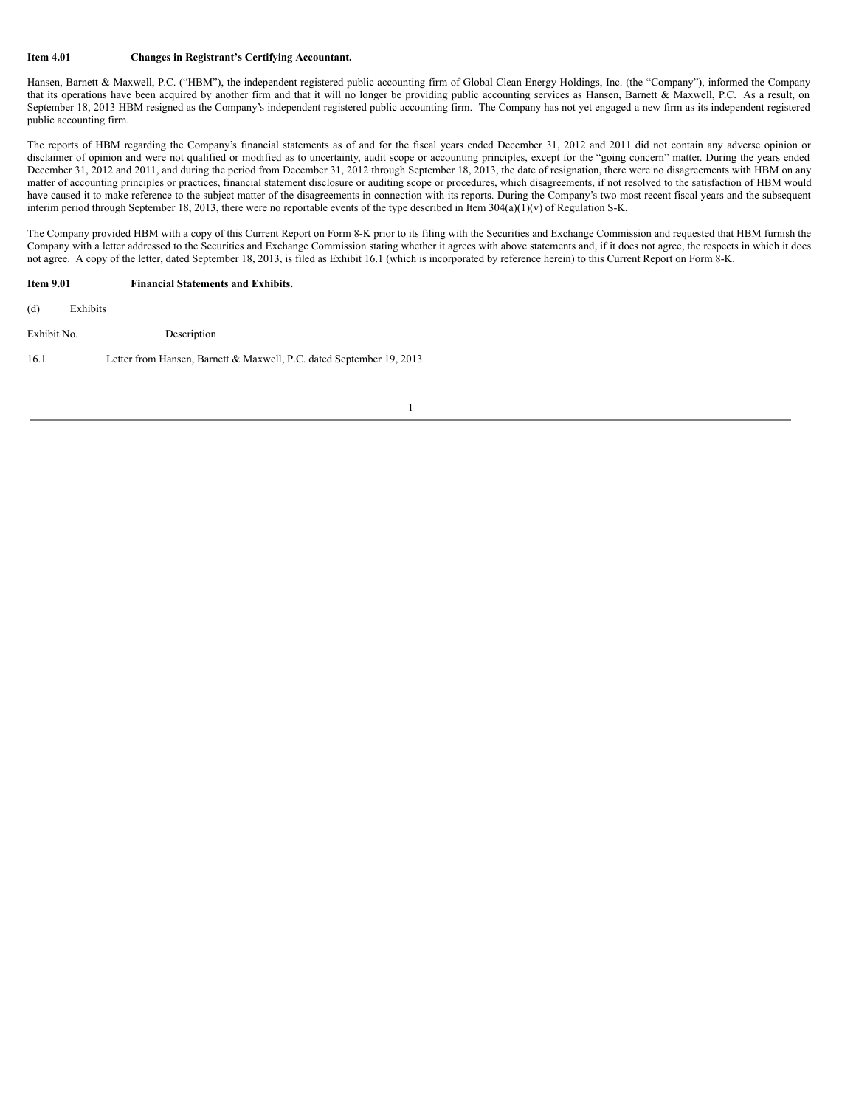### **Item 4.01 Changes in Registrant's Certifying Accountant.**

Hansen, Barnett & Maxwell, P.C. ("HBM"), the independent registered public accounting firm of Global Clean Energy Holdings, Inc. (the "Company"), informed the Company that its operations have been acquired by another firm and that it will no longer be providing public accounting services as Hansen, Barnett & Maxwell, P.C. As a result, on September 18, 2013 HBM resigned as the Company's independent registered public accounting firm. The Company has not yet engaged a new firm as its independent registered public accounting firm.

The reports of HBM regarding the Company's financial statements as of and for the fiscal years ended December 31, 2012 and 2011 did not contain any adverse opinion or disclaimer of opinion and were not qualified or modified as to uncertainty, audit scope or accounting principles, except for the "going concern" matter. During the years ended December 31, 2012 and 2011, and during the period from December 31, 2012 through September 18, 2013, the date of resignation, there were no disagreements with HBM on any matter of accounting principles or practices, financial statement disclosure or auditing scope or procedures, which disagreements, if not resolved to the satisfaction of HBM would have caused it to make reference to the subject matter of the disagreements in connection with its reports. During the Company's two most recent fiscal years and the subsequent interim period through September 18, 2013, there were no reportable events of the type described in Item 304(a)(1)(v) of Regulation S-K.

The Company provided HBM with a copy of this Current Report on Form 8-K prior to its filing with the Securities and Exchange Commission and requested that HBM furnish the Company with a letter addressed to the Securities and Exchange Commission stating whether it agrees with above statements and, if it does not agree, the respects in which it does not agree. A copy of the letter, dated September 18, 2013, is filed as Exhibit 16.1 (which is incorporated by reference herein) to this Current Report on Form 8-K.

### **Item 9.01 Financial Statements and Exhibits.**

(d) Exhibits

Exhibit No. Description

16.1 Letter from Hansen, Barnett & Maxwell, P.C. dated September 19, 2013.

1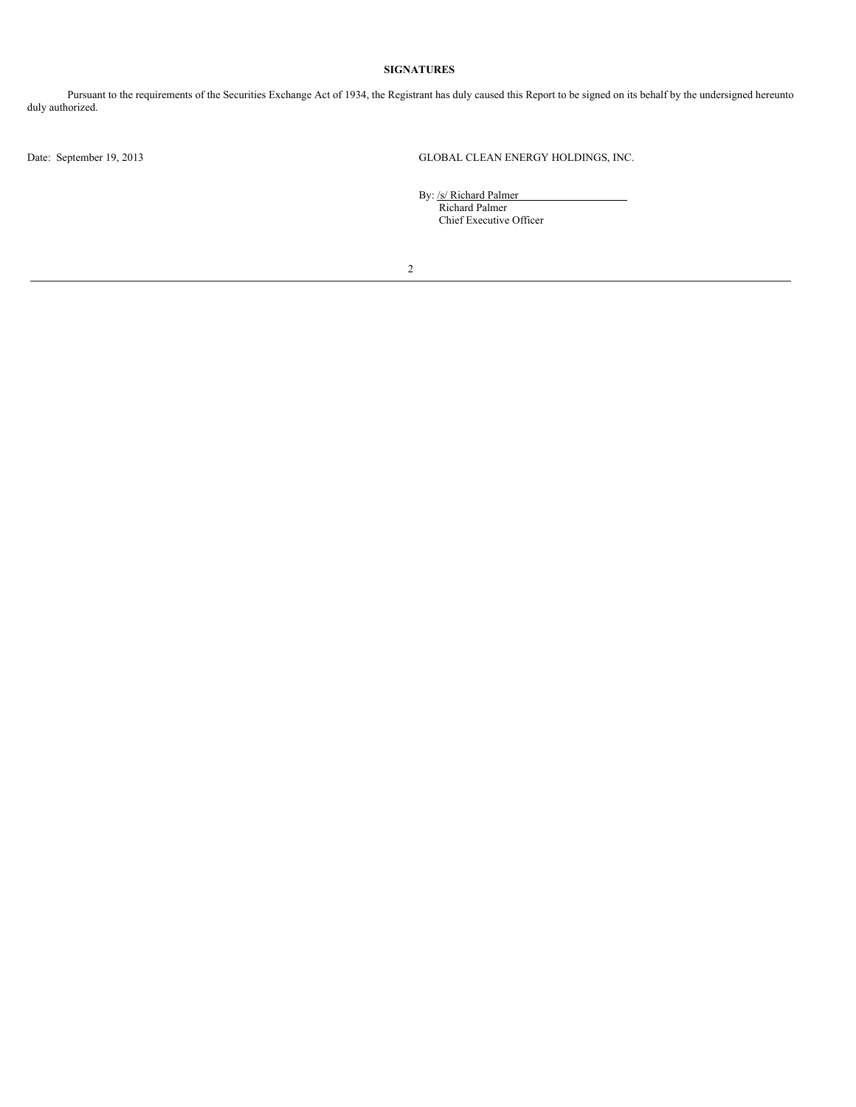# **SIGNATURES**

Pursuant to the requirements of the Securities Exchange Act of 1934, the Registrant has duly caused this Report to be signed on its behalf by the undersigned hereunto duly authorized.

Date: September 19, 2013 GLOBAL CLEAN ENERGY HOLDINGS, INC.

By: /s/ Richard Palmer Richard Palmer Chief Executive Officer

2